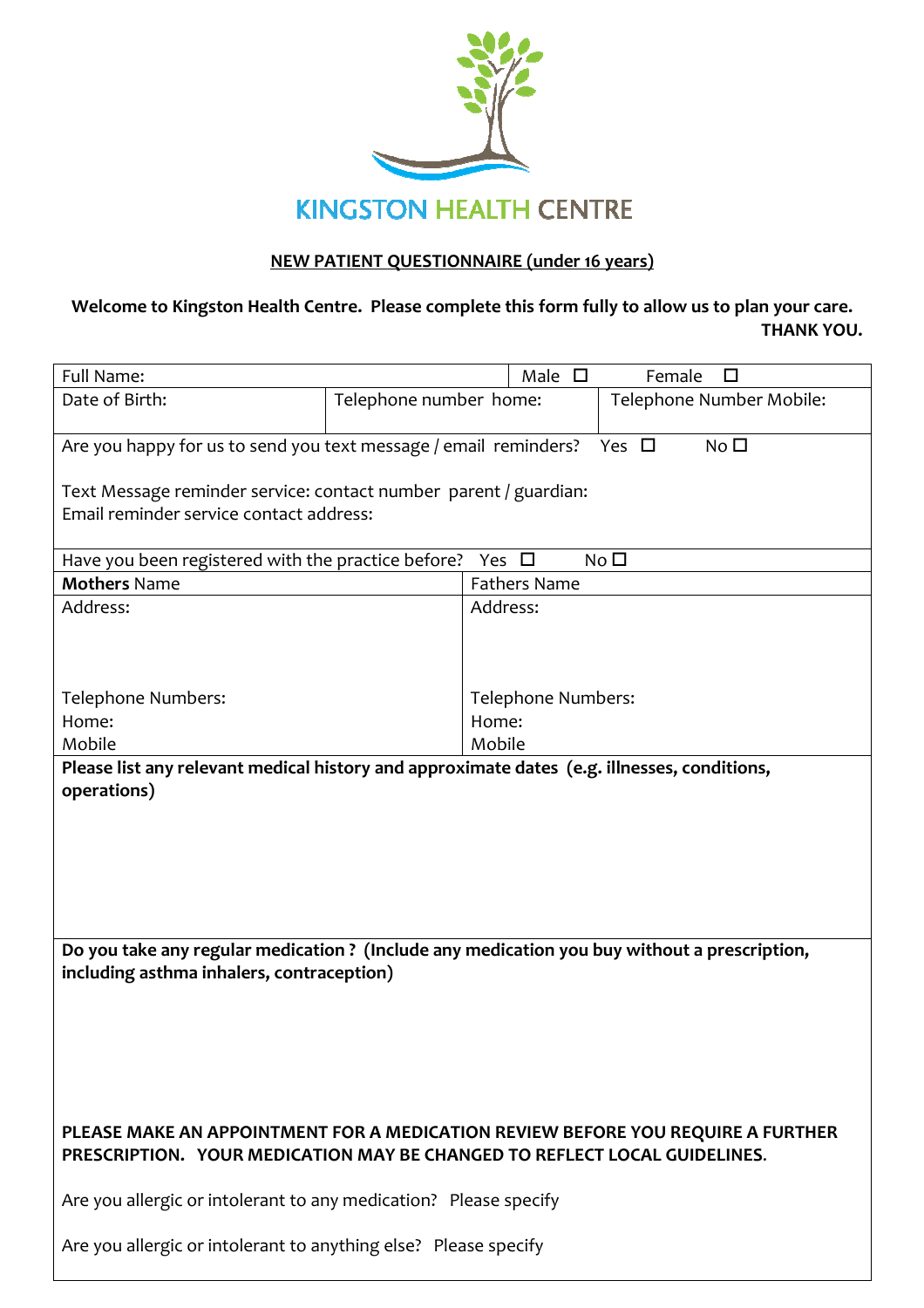

## NEW PATIENT QUESTIONNAIRE (under 16 years)

## Welcome to Kingston Health Centre. Please complete this form fully to allow us to plan your care. THANK YOU.

| Full Name:                                                                                                                                                   |                        | Male $\square$<br>Female<br>П |                          |  |  |  |  |  |
|--------------------------------------------------------------------------------------------------------------------------------------------------------------|------------------------|-------------------------------|--------------------------|--|--|--|--|--|
| Date of Birth:                                                                                                                                               | Telephone number home: |                               | Telephone Number Mobile: |  |  |  |  |  |
| Are you happy for us to send you text message / email reminders?<br>Yes $\Box$<br>No <sub>1</sub>                                                            |                        |                               |                          |  |  |  |  |  |
| Text Message reminder service: contact number parent / guardian:                                                                                             |                        |                               |                          |  |  |  |  |  |
| Email reminder service contact address:                                                                                                                      |                        |                               |                          |  |  |  |  |  |
| No <sub>1</sub><br>Have you been registered with the practice before?<br>Yes $\Box$                                                                          |                        |                               |                          |  |  |  |  |  |
| <b>Mothers Name</b>                                                                                                                                          |                        | <b>Fathers Name</b>           |                          |  |  |  |  |  |
| Address:                                                                                                                                                     | Address:               |                               |                          |  |  |  |  |  |
|                                                                                                                                                              |                        |                               |                          |  |  |  |  |  |
|                                                                                                                                                              |                        |                               |                          |  |  |  |  |  |
| Telephone Numbers:                                                                                                                                           |                        | Telephone Numbers:            |                          |  |  |  |  |  |
| Home:                                                                                                                                                        |                        | Home:                         |                          |  |  |  |  |  |
| Mobile                                                                                                                                                       |                        | Mobile                        |                          |  |  |  |  |  |
|                                                                                                                                                              |                        |                               |                          |  |  |  |  |  |
| Please list any relevant medical history and approximate dates (e.g. illnesses, conditions,<br>operations)                                                   |                        |                               |                          |  |  |  |  |  |
|                                                                                                                                                              |                        |                               |                          |  |  |  |  |  |
|                                                                                                                                                              |                        |                               |                          |  |  |  |  |  |
|                                                                                                                                                              |                        |                               |                          |  |  |  |  |  |
|                                                                                                                                                              |                        |                               |                          |  |  |  |  |  |
|                                                                                                                                                              |                        |                               |                          |  |  |  |  |  |
|                                                                                                                                                              |                        |                               |                          |  |  |  |  |  |
| Do you take any regular medication? (Include any medication you buy without a prescription,                                                                  |                        |                               |                          |  |  |  |  |  |
| including asthma inhalers, contraception)                                                                                                                    |                        |                               |                          |  |  |  |  |  |
|                                                                                                                                                              |                        |                               |                          |  |  |  |  |  |
|                                                                                                                                                              |                        |                               |                          |  |  |  |  |  |
|                                                                                                                                                              |                        |                               |                          |  |  |  |  |  |
|                                                                                                                                                              |                        |                               |                          |  |  |  |  |  |
|                                                                                                                                                              |                        |                               |                          |  |  |  |  |  |
| PLEASE MAKE AN APPOINTMENT FOR A MEDICATION REVIEW BEFORE YOU REQUIRE A FURTHER<br>PRESCRIPTION. YOUR MEDICATION MAY BE CHANGED TO REFLECT LOCAL GUIDELINES. |                        |                               |                          |  |  |  |  |  |
| Are you allergic or intolerant to any medication? Please specify                                                                                             |                        |                               |                          |  |  |  |  |  |
| Are you allergic or intolerant to anything else? Please specify                                                                                              |                        |                               |                          |  |  |  |  |  |